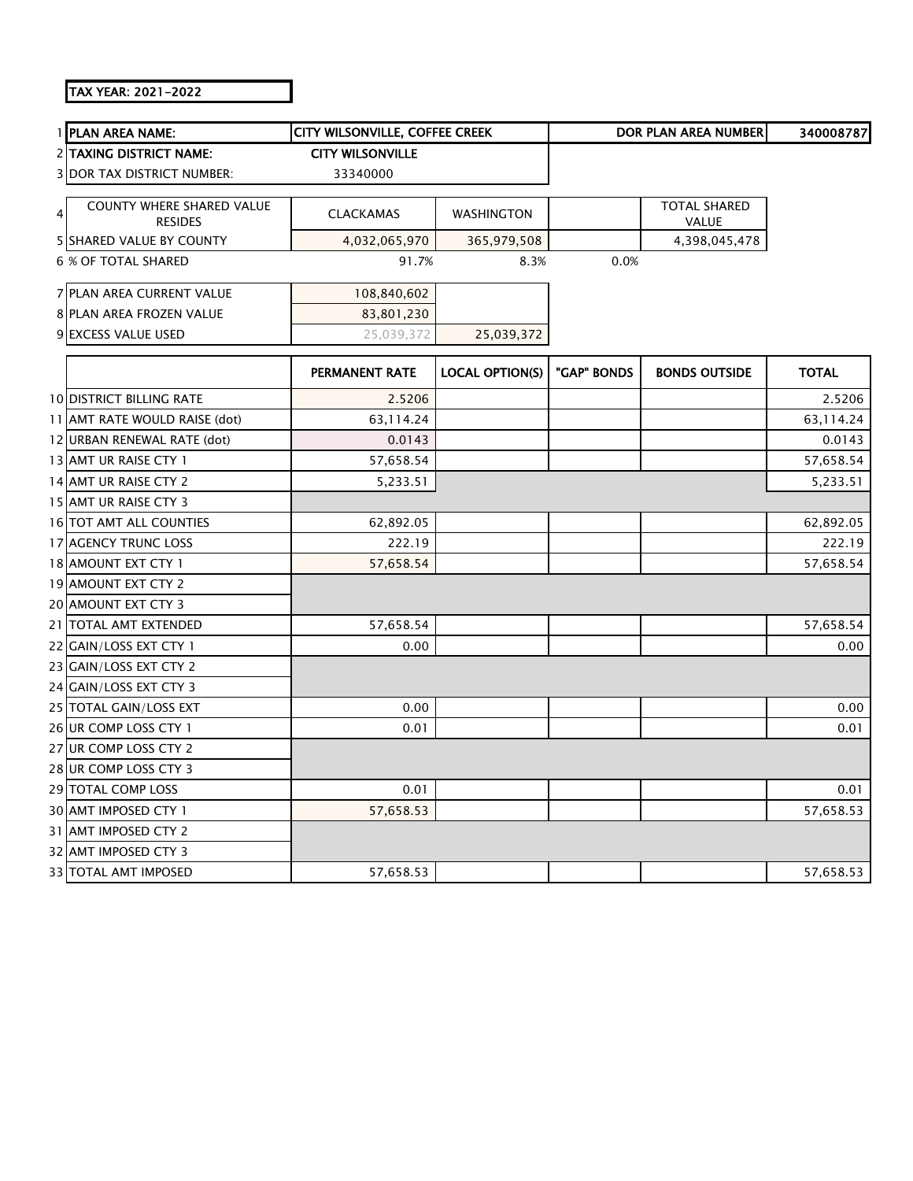## TAX YEAR: 2021-2022

|   | 1 PLAN AREA NAME:                 | CITY WILSONVILLE, COFFEE CREEK |                        |             | DOR PLAN AREA NUMBER | 340008787    |
|---|-----------------------------------|--------------------------------|------------------------|-------------|----------------------|--------------|
|   | <b>2 TAXING DISTRICT NAME:</b>    | <b>CITY WILSONVILLE</b>        |                        |             |                      |              |
|   | <b>3 DOR TAX DISTRICT NUMBER:</b> | 33340000                       |                        |             |                      |              |
|   | <b>COUNTY WHERE SHARED VALUE</b>  |                                |                        |             | <b>TOTAL SHARED</b>  |              |
| 4 | <b>RESIDES</b>                    | <b>CLACKAMAS</b>               | WASHINGTON             |             | VALUE                |              |
|   | <b>5 SHARED VALUE BY COUNTY</b>   | 4,032,065,970                  | 365,979,508            |             | 4,398,045,478        |              |
|   | <b>6 % OF TOTAL SHARED</b>        | 91.7%                          | 8.3%                   | 0.0%        |                      |              |
|   | 7 PLAN AREA CURRENT VALUE         | 108,840,602                    |                        |             |                      |              |
|   | 8 PLAN AREA FROZEN VALUE          | 83,801,230                     |                        |             |                      |              |
|   | 9 EXCESS VALUE USED               | 25,039,372                     | 25,039,372             |             |                      |              |
|   |                                   |                                |                        |             |                      |              |
|   |                                   | PERMANENT RATE                 | <b>LOCAL OPTION(S)</b> | "GAP" BONDS | <b>BONDS OUTSIDE</b> | <b>TOTAL</b> |
|   | <b>10 DISTRICT BILLING RATE</b>   | 2.5206                         |                        |             |                      | 2.5206       |
|   | 11 AMT RATE WOULD RAISE (dot)     | 63,114.24                      |                        |             |                      | 63,114.24    |
|   | 12 URBAN RENEWAL RATE (dot)       | 0.0143                         |                        |             |                      | 0.0143       |
|   | 13 AMT UR RAISE CTY 1             | 57,658.54                      |                        |             |                      | 57,658.54    |
|   | 14 AMT UR RAISE CTY 2             | 5,233.51                       |                        |             |                      | 5,233.51     |
|   | 15 AMT UR RAISE CTY 3             |                                |                        |             |                      |              |
|   | 16 TOT AMT ALL COUNTIES           | 62,892.05                      |                        |             |                      | 62,892.05    |
|   | 17 AGENCY TRUNC LOSS              | 222.19                         |                        |             |                      | 222.19       |
|   | 18 AMOUNT EXT CTY 1               | 57,658.54                      |                        |             |                      | 57,658.54    |
|   | 19 AMOUNT EXT CTY 2               |                                |                        |             |                      |              |
|   | 20 AMOUNT EXT CTY 3               |                                |                        |             |                      |              |
|   | 21 TOTAL AMT EXTENDED             | 57,658.54                      |                        |             |                      | 57,658.54    |
|   | 22 GAIN/LOSS EXT CTY 1            | 0.00                           |                        |             |                      | 0.00         |
|   | 23 GAIN/LOSS EXT CTY 2            |                                |                        |             |                      |              |
|   | 24 GAIN/LOSS EXT CTY 3            |                                |                        |             |                      |              |
|   | 25 TOTAL GAIN/LOSS EXT            | 0.00                           |                        |             |                      | 0.00         |
|   | 26 UR COMP LOSS CTY 1             | 0.01                           |                        |             |                      | 0.01         |
|   | 27 UR COMP LOSS CTY 2             |                                |                        |             |                      |              |
|   | 28 UR COMP LOSS CTY 3             |                                |                        |             |                      |              |
|   | 29 TOTAL COMP LOSS                | 0.01                           |                        |             |                      | 0.01         |
|   | 30 AMT IMPOSED CTY 1              | 57,658.53                      |                        |             |                      | 57,658.53    |
|   | 31 AMT IMPOSED CTY 2              |                                |                        |             |                      |              |
|   | 32 AMT IMPOSED CTY 3              |                                |                        |             |                      |              |
|   | 33 TOTAL AMT IMPOSED              | 57,658.53                      |                        |             |                      | 57,658.53    |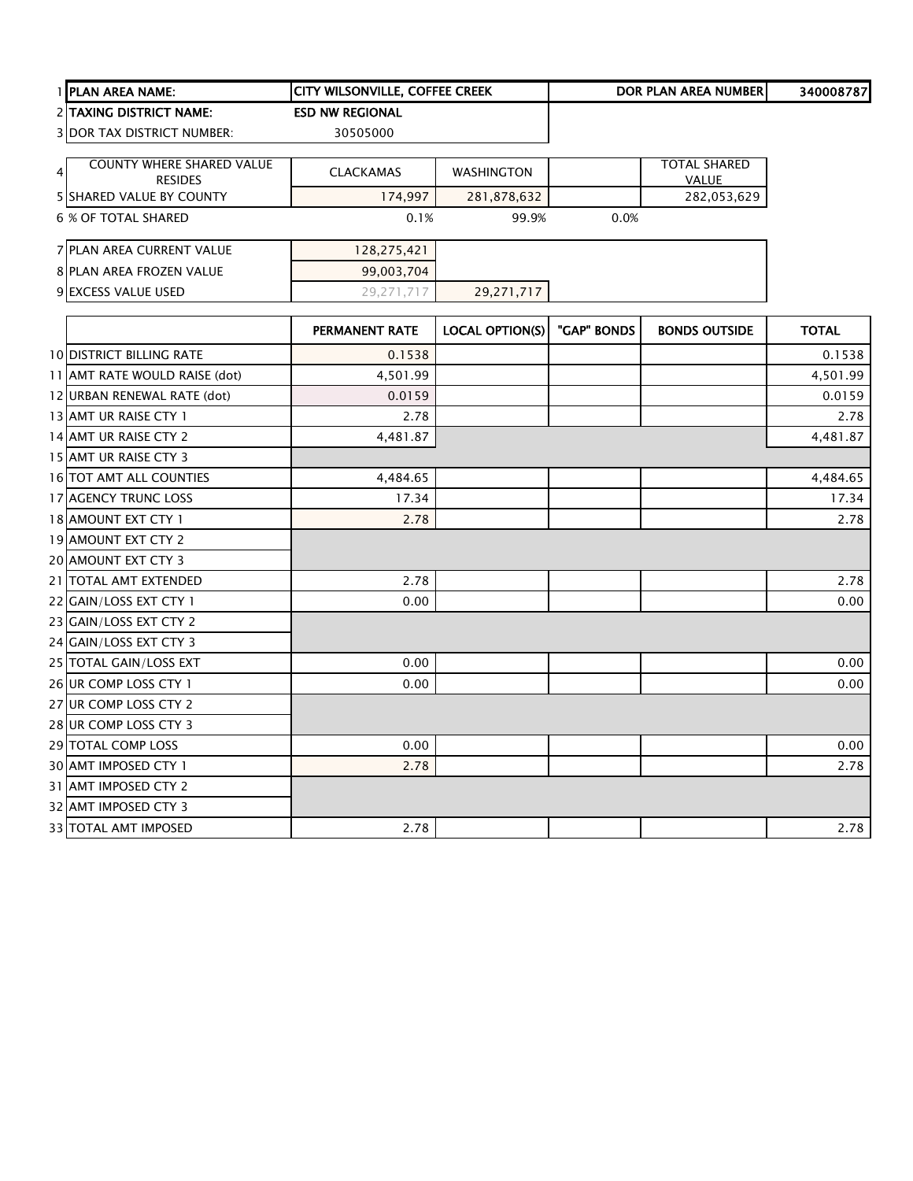|   | 1 PLAN AREA NAME:               | CITY WILSONVILLE, COFFEE CREEK |                        |             | <b>DOR PLAN AREA NUMBER</b> | 340008787    |
|---|---------------------------------|--------------------------------|------------------------|-------------|-----------------------------|--------------|
|   | 2 TAXING DISTRICT NAME:         | <b>ESD NW REGIONAL</b>         |                        |             |                             |              |
|   | 3 DOR TAX DISTRICT NUMBER:      | 30505000                       |                        |             |                             |              |
|   | COUNTY WHERE SHARED VALUE       |                                |                        |             | <b>TOTAL SHARED</b>         |              |
| 4 | <b>RESIDES</b>                  | <b>CLACKAMAS</b>               | <b>WASHINGTON</b>      |             | <b>VALUE</b>                |              |
|   | 5 SHARED VALUE BY COUNTY        | 174,997                        | 281,878,632            |             | 282,053,629                 |              |
|   | <b>6 % OF TOTAL SHARED</b>      | 0.1%                           | 99.9%                  | 0.0%        |                             |              |
|   | 7 PLAN AREA CURRENT VALUE       | 128,275,421                    |                        |             |                             |              |
|   | 8 PLAN AREA FROZEN VALUE        | 99,003,704                     |                        |             |                             |              |
|   | 9 EXCESS VALUE USED             | 29,271,717                     | 29,271,717             |             |                             |              |
|   |                                 | <b>PERMANENT RATE</b>          | <b>LOCAL OPTION(S)</b> | "GAP" BONDS | <b>BONDS OUTSIDE</b>        | <b>TOTAL</b> |
|   | <b>10 DISTRICT BILLING RATE</b> | 0.1538                         |                        |             |                             | 0.1538       |
|   | 11 JAMT RATE WOULD RAISE (dot)  | 4,501.99                       |                        |             |                             | 4,501.99     |
|   | 12 URBAN RENEWAL RATE (dot)     | 0.0159                         |                        |             |                             | 0.0159       |
|   | 13 AMT UR RAISE CTY 1           | 2.78                           |                        |             |                             | 2.78         |
|   | 14 AMT UR RAISE CTY 2           | 4,481.87                       |                        |             |                             | 4,481.87     |
|   | 15 AMT UR RAISE CTY 3           |                                |                        |             |                             |              |
|   | <b>16 TOT AMT ALL COUNTIES</b>  | 4,484.65                       |                        |             |                             | 4,484.65     |
|   | <b>17 AGENCY TRUNC LOSS</b>     | 17.34                          |                        |             |                             | 17.34        |
|   | 18 AMOUNT EXT CTY 1             | 2.78                           |                        |             |                             | 2.78         |
|   | 19 AMOUNT EXT CTY 2             |                                |                        |             |                             |              |
|   | 20 AMOUNT EXT CTY 3             |                                |                        |             |                             |              |
|   | 21 TOTAL AMT EXTENDED           | 2.78                           |                        |             |                             | 2.78         |
|   | 22 GAIN/LOSS EXT CTY 1          | 0.00                           |                        |             |                             | 0.00         |
|   | 23 GAIN/LOSS EXT CTY 2          |                                |                        |             |                             |              |
|   | 24 GAIN/LOSS EXT CTY 3          |                                |                        |             |                             |              |
|   | 25 TOTAL GAIN/LOSS EXT          | 0.00                           |                        |             |                             | 0.00         |
|   | 26 UR COMP LOSS CTY 1           | 0.00                           |                        |             |                             | 0.00         |
|   | 27 UR COMP LOSS CTY 2           |                                |                        |             |                             |              |
|   | 28 UR COMP LOSS CTY 3           |                                |                        |             |                             |              |
|   | 29 TOTAL COMP LOSS              | 0.00                           |                        |             |                             | 0.00         |
|   | 30 AMT IMPOSED CTY 1            | 2.78                           |                        |             |                             | 2.78         |
|   | 31 AMT IMPOSED CTY 2            |                                |                        |             |                             |              |
|   | 32 AMT IMPOSED CTY 3            |                                |                        |             |                             |              |

33|TOTAL AMT IMPOSED 2.78 | 2.78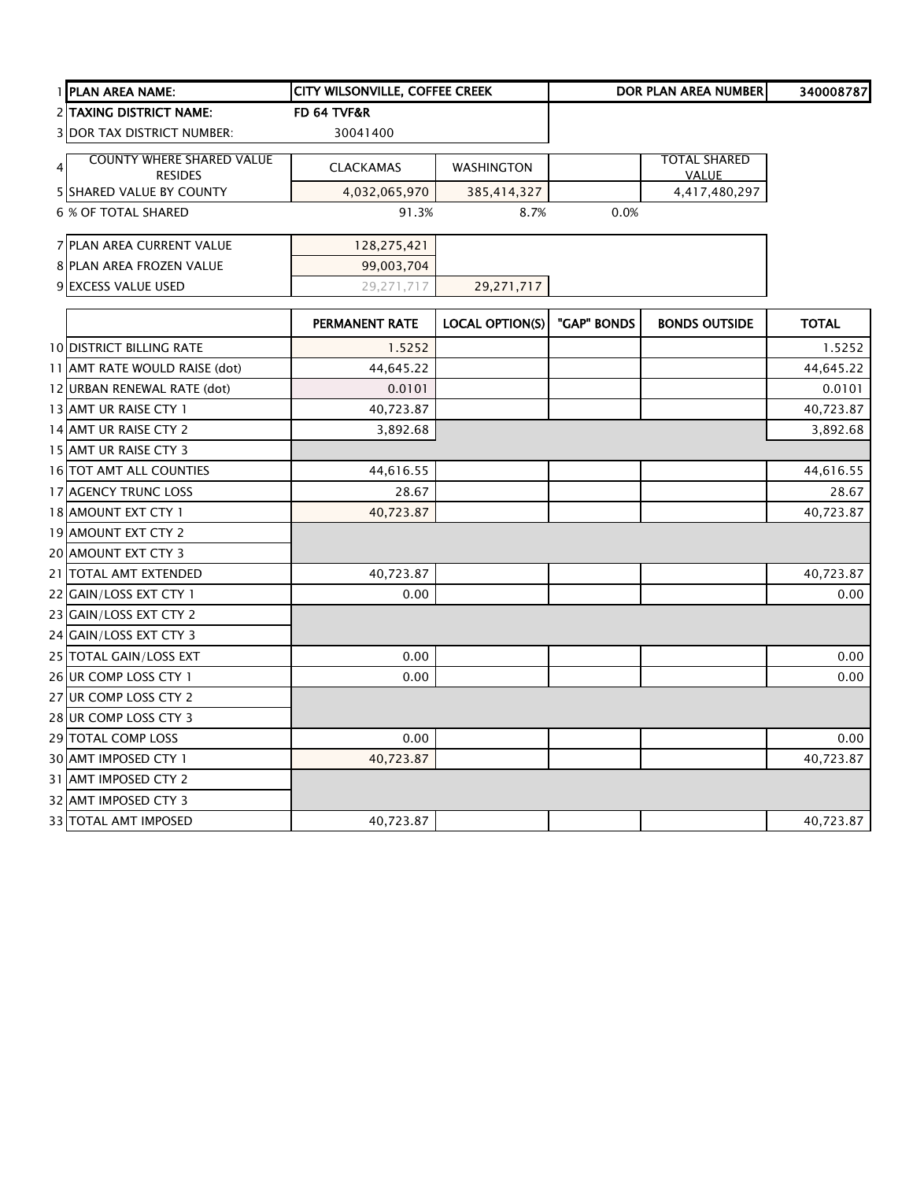|   | 1 PLAN AREA NAME:                                  | <b>CITY WILSONVILLE, COFFEE CREEK</b> |                        |             | DOR PLAN AREA NUMBER                | 340008787    |
|---|----------------------------------------------------|---------------------------------------|------------------------|-------------|-------------------------------------|--------------|
|   | 2 TAXING DISTRICT NAME:                            | FD 64 TVF&R                           |                        |             |                                     |              |
|   | <b>3 DOR TAX DISTRICT NUMBER:</b>                  | 30041400                              |                        |             |                                     |              |
| 4 | <b>COUNTY WHERE SHARED VALUE</b><br><b>RESIDES</b> | <b>CLACKAMAS</b>                      | <b>WASHINGTON</b>      |             | <b>TOTAL SHARED</b><br><b>VALUE</b> |              |
|   | 5 SHARED VALUE BY COUNTY                           | 4,032,065,970                         | 385,414,327            |             | 4,417,480,297                       |              |
|   | <b>6 % OF TOTAL SHARED</b>                         | 91.3%                                 | 8.7%                   | 0.0%        |                                     |              |
|   | 7 PLAN AREA CURRENT VALUE                          | 128,275,421                           |                        |             |                                     |              |
|   | <b>8 PLAN AREA FROZEN VALUE</b>                    | 99,003,704                            |                        |             |                                     |              |
|   | 9 EXCESS VALUE USED                                | 29,271,717                            | 29,271,717             |             |                                     |              |
|   |                                                    | PERMANENT RATE                        | <b>LOCAL OPTION(S)</b> | "GAP" BONDS | <b>BONDS OUTSIDE</b>                | <b>TOTAL</b> |
|   | <b>10 DISTRICT BILLING RATE</b>                    | 1.5252                                |                        |             |                                     | 1.5252       |
|   | 11 AMT RATE WOULD RAISE (dot)                      | 44,645.22                             |                        |             |                                     | 44,645.22    |
|   | 12 URBAN RENEWAL RATE (dot)                        | 0.0101                                |                        |             |                                     | 0.0101       |
|   | 13 AMT UR RAISE CTY 1                              | 40,723.87                             |                        |             |                                     | 40,723.87    |
|   | 14 AMT UR RAISE CTY 2                              | 3,892.68                              |                        |             |                                     | 3,892.68     |
|   | 15 AMT UR RAISE CTY 3                              |                                       |                        |             |                                     |              |
|   | 16 TOT AMT ALL COUNTIES                            | 44,616.55                             |                        |             |                                     | 44,616.55    |
|   | 17 AGENCY TRUNC LOSS                               | 28.67                                 |                        |             |                                     | 28.67        |
|   | 18 AMOUNT EXT CTY 1                                | 40,723.87                             |                        |             |                                     | 40,723.87    |
|   | 19 AMOUNT EXT CTY 2                                |                                       |                        |             |                                     |              |
|   | 20 AMOUNT EXT CTY 3                                |                                       |                        |             |                                     |              |
|   | 21 TOTAL AMT EXTENDED                              | 40,723.87                             |                        |             |                                     | 40,723.87    |
|   | 22 GAIN/LOSS EXT CTY 1                             | 0.00                                  |                        |             |                                     | 0.00         |
|   | 23 GAIN/LOSS EXT CTY 2                             |                                       |                        |             |                                     |              |
|   | 24 GAIN/LOSS EXT CTY 3                             |                                       |                        |             |                                     |              |
|   | 25 TOTAL GAIN/LOSS EXT                             | 0.00                                  |                        |             |                                     | 0.00         |
|   | 26 UR COMP LOSS CTY 1                              | 0.00                                  |                        |             |                                     | 0.00         |
|   | 27 UR COMP LOSS CTY 2                              |                                       |                        |             |                                     |              |
|   | 28 UR COMP LOSS CTY 3                              |                                       |                        |             |                                     |              |
|   | 29 TOTAL COMP LOSS                                 | 0.00                                  |                        |             |                                     | 0.00         |
|   | 30 AMT IMPOSED CTY 1                               | 40,723.87                             |                        |             |                                     | 40,723.87    |
|   | 31 AMT IMPOSED CTY 2                               |                                       |                        |             |                                     |              |
|   | 32 AMT IMPOSED CTY 3                               |                                       |                        |             |                                     |              |
|   | 33 TOTAL AMT IMPOSED                               | 40,723.87                             |                        |             |                                     | 40,723.87    |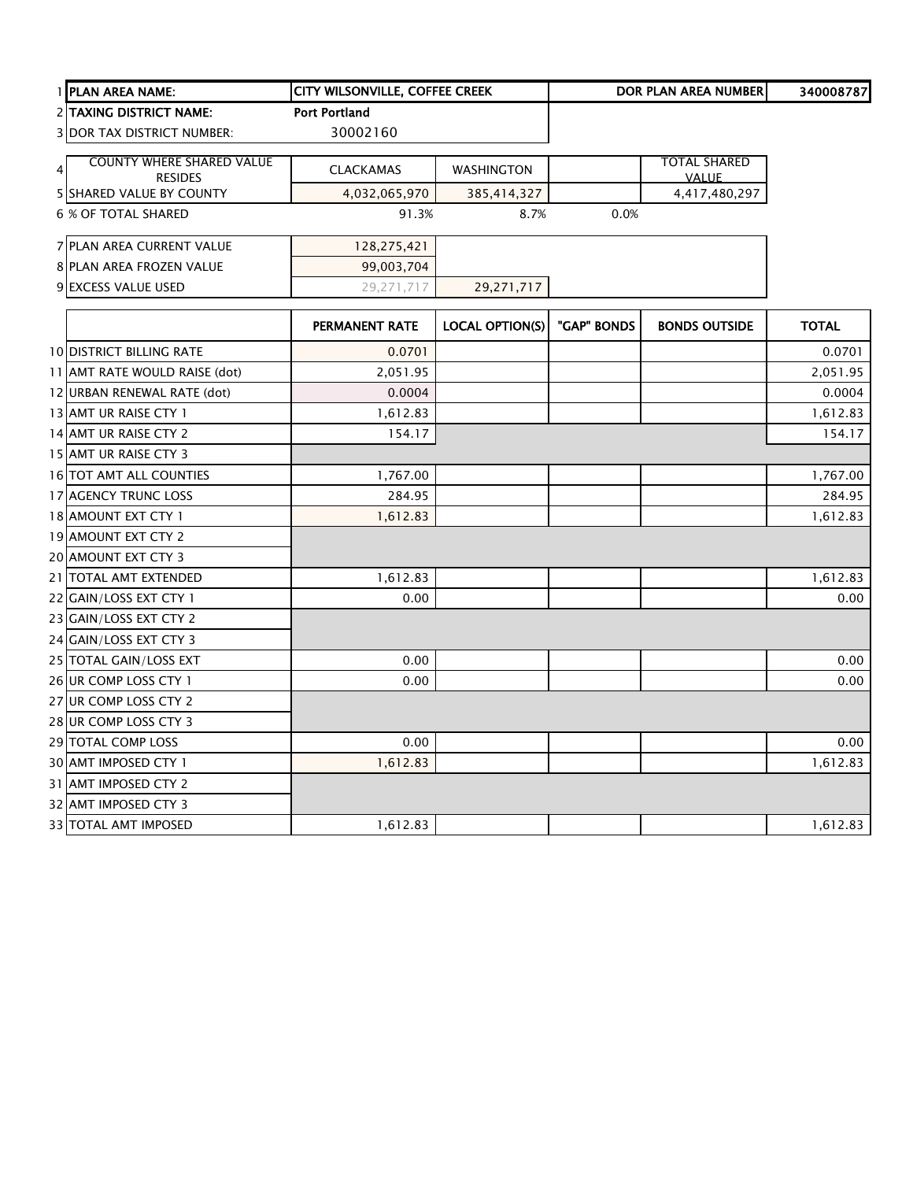| 1 PLAN AREA NAME:                 | CITY WILSONVILLE, COFFEE CREEK |                        |             | <b>DOR PLAN AREA NUMBER</b> | 340008787    |
|-----------------------------------|--------------------------------|------------------------|-------------|-----------------------------|--------------|
| <b>2 TAXING DISTRICT NAME:</b>    | <b>Port Portland</b>           |                        |             |                             |              |
| <b>3 DOR TAX DISTRICT NUMBER:</b> | 30002160                       |                        |             |                             |              |
| <b>COUNTY WHERE SHARED VALUE</b>  |                                |                        |             | <b>TOTAL SHARED</b>         |              |
| $\overline{4}$<br><b>RESIDES</b>  | <b>CLACKAMAS</b>               | <b>WASHINGTON</b>      |             | <b>VALUE</b>                |              |
| <b>5 SHARED VALUE BY COUNTY</b>   | 4,032,065,970                  | 385,414,327            |             | 4,417,480,297               |              |
| <b>6 % OF TOTAL SHARED</b>        | 91.3%                          | 8.7%                   | 0.0%        |                             |              |
| 7 PLAN AREA CURRENT VALUE         | 128,275,421                    |                        |             |                             |              |
| 8 PLAN AREA FROZEN VALUE          | 99,003,704                     |                        |             |                             |              |
| 9 EXCESS VALUE USED               | 29,271,717                     | 29,271,717             |             |                             |              |
|                                   | PERMANENT RATE                 | <b>LOCAL OPTION(S)</b> | "GAP" BONDS | <b>BONDS OUTSIDE</b>        | <b>TOTAL</b> |
| <b>10 DISTRICT BILLING RATE</b>   | 0.0701                         |                        |             |                             | 0.0701       |
| 11 AMT RATE WOULD RAISE (dot)     | 2,051.95                       |                        |             |                             | 2,051.95     |
| 12 URBAN RENEWAL RATE (dot)       | 0.0004                         |                        |             |                             | 0.0004       |
| 13 AMT UR RAISE CTY 1             | 1,612.83                       |                        |             |                             | 1,612.83     |
| 14 AMT UR RAISE CTY 2             | 154.17                         |                        |             |                             | 154.17       |
| 15 AMT UR RAISE CTY 3             |                                |                        |             |                             |              |
| 16 TOT AMT ALL COUNTIES           | 1,767.00                       |                        |             |                             | 1,767.00     |
| 17 AGENCY TRUNC LOSS              | 284.95                         |                        |             |                             | 284.95       |
| 18 AMOUNT EXT CTY 1               | 1,612.83                       |                        |             |                             | 1,612.83     |
| 19 AMOUNT EXT CTY 2               |                                |                        |             |                             |              |
| 20 AMOUNT EXT CTY 3               |                                |                        |             |                             |              |
| 21 TOTAL AMT EXTENDED             | 1,612.83                       |                        |             |                             | 1,612.83     |
| 22 GAIN/LOSS EXT CTY 1            | 0.00                           |                        |             |                             | 0.00         |
| 23 GAIN/LOSS EXT CTY 2            |                                |                        |             |                             |              |
| 24 GAIN/LOSS EXT CTY 3            |                                |                        |             |                             |              |
| 25 TOTAL GAIN/LOSS EXT            | 0.00                           |                        |             |                             | 0.00         |
| 26 UR COMP LOSS CTY 1             | 0.00                           |                        |             |                             | 0.00         |
| 27 UR COMP LOSS CTY 2             |                                |                        |             |                             |              |
| 28 UR COMP LOSS CTY 3             |                                |                        |             |                             |              |
| 29 TOTAL COMP LOSS                | 0.00                           |                        |             |                             | 0.00         |
| 30 AMT IMPOSED CTY 1              | 1,612.83                       |                        |             |                             | 1,612.83     |
| 31 AMT IMPOSED CTY 2              |                                |                        |             |                             |              |
| 32 AMT IMPOSED CTY 3              |                                |                        |             |                             |              |
| 33 TOTAL AMT IMPOSED              | 1,612.83                       |                        |             |                             | 1,612.83     |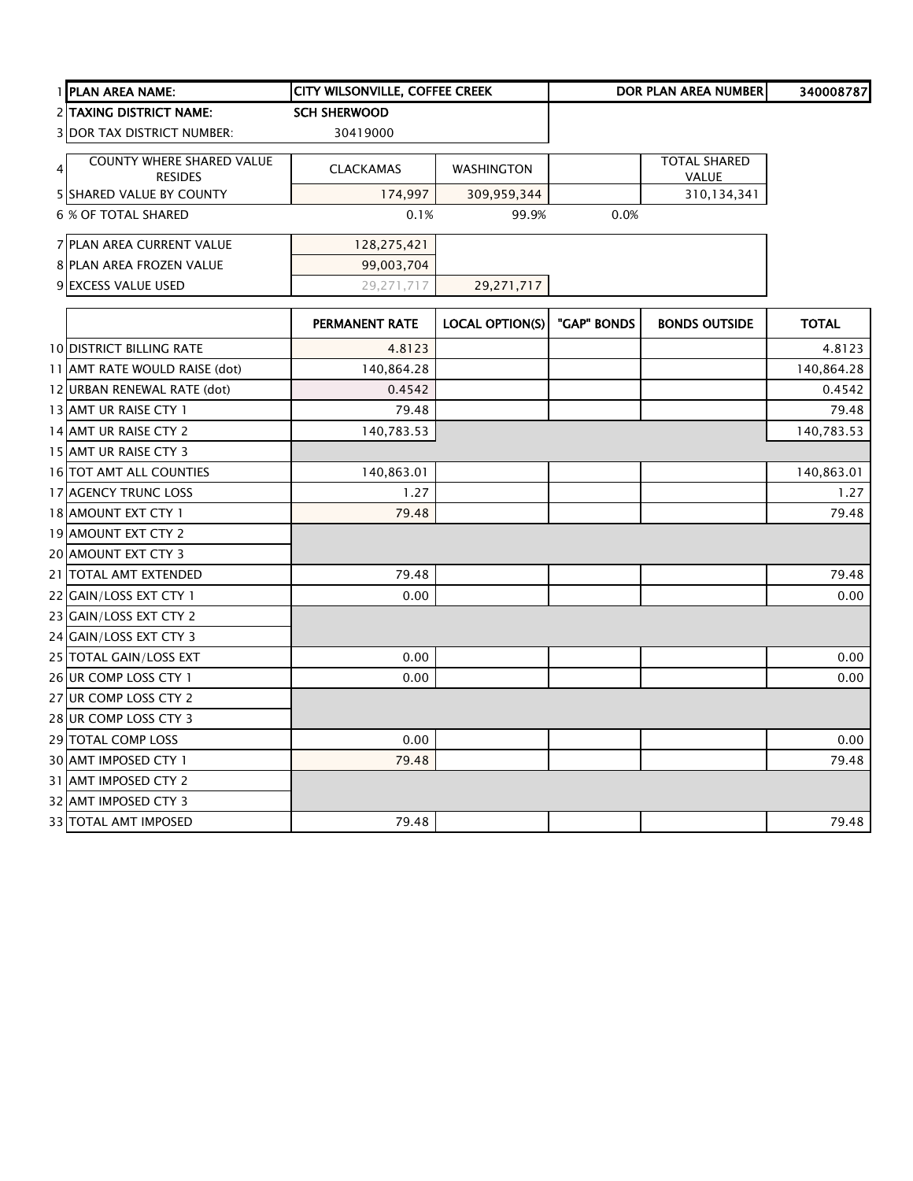|                | 1 PLAN AREA NAME:                           | CITY WILSONVILLE, COFFEE CREEK |                        |             | DOR PLAN AREA NUMBER         | 340008787    |
|----------------|---------------------------------------------|--------------------------------|------------------------|-------------|------------------------------|--------------|
|                | 2 TAXING DISTRICT NAME:                     | <b>SCH SHERWOOD</b>            |                        |             |                              |              |
|                | <b>3 DOR TAX DISTRICT NUMBER:</b>           | 30419000                       |                        |             |                              |              |
| $\overline{4}$ | COUNTY WHERE SHARED VALUE<br><b>RESIDES</b> | <b>CLACKAMAS</b>               | <b>WASHINGTON</b>      |             | <b>TOTAL SHARED</b><br>VALUE |              |
|                | 5 SHARED VALUE BY COUNTY                    | 174,997                        | 309,959,344            |             | 310,134,341                  |              |
|                | <b>6 % OF TOTAL SHARED</b>                  | 0.1%                           | 99.9%                  | 0.0%        |                              |              |
|                | 7 PLAN AREA CURRENT VALUE                   | 128,275,421                    |                        |             |                              |              |
|                | 8 PLAN AREA FROZEN VALUE                    | 99,003,704                     |                        |             |                              |              |
|                | 9 EXCESS VALUE USED                         | 29,271,717                     | 29,271,717             |             |                              |              |
|                |                                             | <b>PERMANENT RATE</b>          | <b>LOCAL OPTION(S)</b> | "GAP" BONDS | <b>BONDS OUTSIDE</b>         | <b>TOTAL</b> |
|                | <b>10 DISTRICT BILLING RATE</b>             | 4.8123                         |                        |             |                              | 4.8123       |
|                | 11 AMT RATE WOULD RAISE (dot)               | 140,864.28                     |                        |             |                              | 140,864.28   |
|                | 12 URBAN RENEWAL RATE (dot)                 | 0.4542                         |                        |             |                              | 0.4542       |
|                | 13 AMT UR RAISE CTY 1                       | 79.48                          |                        |             |                              | 79.48        |
|                | 14 AMT UR RAISE CTY 2                       | 140,783.53                     |                        |             |                              | 140,783.53   |
|                | 15 AMT UR RAISE CTY 3                       |                                |                        |             |                              |              |
|                | 16 TOT AMT ALL COUNTIES                     | 140,863.01                     |                        |             |                              | 140,863.01   |
|                | 17 AGENCY TRUNC LOSS                        | 1.27                           |                        |             |                              | 1.27         |
|                | 18 AMOUNT EXT CTY 1                         | 79.48                          |                        |             |                              | 79.48        |
|                | 19 AMOUNT EXT CTY 2                         |                                |                        |             |                              |              |
|                | 20 AMOUNT EXT CTY 3                         |                                |                        |             |                              |              |
|                | 21 TOTAL AMT EXTENDED                       | 79.48                          |                        |             |                              | 79.48        |
|                | 22 GAIN/LOSS EXT CTY 1                      | 0.00                           |                        |             |                              | 0.00         |
|                | 23 GAIN/LOSS EXT CTY 2                      |                                |                        |             |                              |              |
|                | 24 GAIN/LOSS EXT CTY 3                      |                                |                        |             |                              |              |
|                | 25 TOTAL GAIN/LOSS EXT                      | 0.00                           |                        |             |                              | 0.00         |
|                | 26 UR COMP LOSS CTY 1                       | 0.00                           |                        |             |                              | 0.00         |
|                | 27 UR COMP LOSS CTY 2                       |                                |                        |             |                              |              |
|                | 28 UR COMP LOSS CTY 3                       |                                |                        |             |                              |              |
|                | 29 TOTAL COMP LOSS                          | 0.00                           |                        |             |                              | 0.00         |
|                | 30 AMT IMPOSED CTY 1                        | 79.48                          |                        |             |                              | 79.48        |
|                | 31 AMT IMPOSED CTY 2                        |                                |                        |             |                              |              |
|                | 32 AMT IMPOSED CTY 3                        |                                |                        |             |                              |              |
|                | 33 TOTAL AMT IMPOSED                        | 79.48                          |                        |             |                              | 79.48        |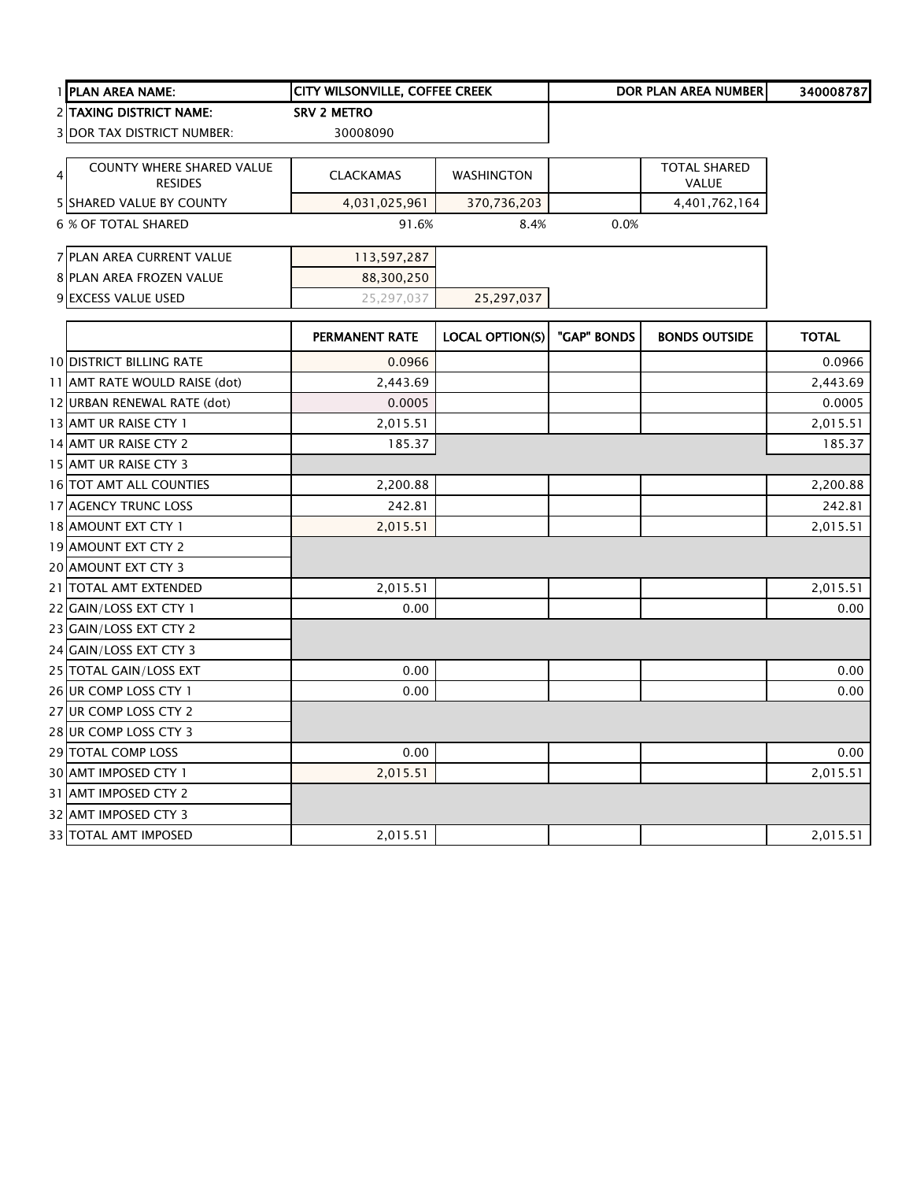|   | 1 PLAN AREA NAME:                                  | <b>CITY WILSONVILLE, COFFEE CREEK</b> |                        |             | <b>DOR PLAN AREA NUMBER</b>         | 340008787    |
|---|----------------------------------------------------|---------------------------------------|------------------------|-------------|-------------------------------------|--------------|
|   | <b>2 ITAXING DISTRICT NAME:</b>                    | <b>SRV 2 METRO</b>                    |                        |             |                                     |              |
|   | <b>3 DOR TAX DISTRICT NUMBER:</b>                  | 30008090                              |                        |             |                                     |              |
|   |                                                    |                                       |                        |             |                                     |              |
| 4 | <b>COUNTY WHERE SHARED VALUE</b><br><b>RESIDES</b> | <b>CLACKAMAS</b>                      | <b>WASHINGTON</b>      |             | <b>TOTAL SHARED</b><br><b>VALUE</b> |              |
|   | 5 SHARED VALUE BY COUNTY                           | 4,031,025,961                         | 370,736,203            |             | 4,401,762,164                       |              |
|   | 6 % OF TOTAL SHARED                                | 91.6%                                 | 8.4%                   | 0.0%        |                                     |              |
|   | 7 PLAN AREA CURRENT VALUE                          | 113,597,287                           |                        |             |                                     |              |
|   | 8 PLAN AREA FROZEN VALUE                           | 88,300,250                            |                        |             |                                     |              |
|   | 9 EXCESS VALUE USED                                | 25,297,037                            | 25,297,037             |             |                                     |              |
|   |                                                    | PERMANENT RATE                        | <b>LOCAL OPTION(S)</b> | "GAP" BONDS | <b>BONDS OUTSIDE</b>                | <b>TOTAL</b> |
|   | <b>10 DISTRICT BILLING RATE</b>                    | 0.0966                                |                        |             |                                     | 0.0966       |
|   | 11 AMT RATE WOULD RAISE (dot)                      | 2,443.69                              |                        |             |                                     | 2,443.69     |
|   | 12 URBAN RENEWAL RATE (dot)                        | 0.0005                                |                        |             |                                     | 0.0005       |
|   | 13 AMT UR RAISE CTY 1                              | 2,015.51                              |                        |             |                                     | 2,015.51     |
|   | 14 AMT UR RAISE CTY 2                              | 185.37                                |                        |             |                                     | 185.37       |
|   | 15 AMT UR RAISE CTY 3                              |                                       |                        |             |                                     |              |
|   | 16 TOT AMT ALL COUNTIES                            | 2,200.88                              |                        |             |                                     | 2,200.88     |
|   | 17 AGENCY TRUNC LOSS                               | 242.81                                |                        |             |                                     | 242.81       |
|   | 18 AMOUNT EXT CTY 1                                | 2,015.51                              |                        |             |                                     | 2,015.51     |
|   | 19 AMOUNT EXT CTY 2                                |                                       |                        |             |                                     |              |
|   | 20 AMOUNT EXT CTY 3                                |                                       |                        |             |                                     |              |
|   | 21   TOTAL AMT EXTENDED                            | 2,015.51                              |                        |             |                                     | 2,015.51     |
|   | 22 GAIN/LOSS EXT CTY 1                             | 0.00                                  |                        |             |                                     | 0.00         |
|   | 23 GAIN/LOSS EXT CTY 2                             |                                       |                        |             |                                     |              |
|   | 24 GAIN/LOSS EXT CTY 3                             |                                       |                        |             |                                     |              |
|   | 25 TOTAL GAIN/LOSS EXT                             | 0.00                                  |                        |             |                                     | 0.00         |
|   | 26 UR COMP LOSS CTY 1                              | 0.00                                  |                        |             |                                     | 0.00         |
|   | 27 UR COMP LOSS CTY 2                              |                                       |                        |             |                                     |              |
|   | 28 UR COMP LOSS CTY 3                              |                                       |                        |             |                                     |              |
|   | 29 TOTAL COMP LOSS                                 | 0.00                                  |                        |             |                                     | 0.00         |
|   | 30 AMT IMPOSED CTY 1                               | 2,015.51                              |                        |             |                                     | 2,015.51     |
|   | 31 AMT IMPOSED CTY 2                               |                                       |                        |             |                                     |              |
|   | 32 AMT IMPOSED CTY 3                               |                                       |                        |             |                                     |              |
|   | 33 TOTAL AMT IMPOSED                               | 2,015.51                              |                        |             |                                     | 2,015.51     |